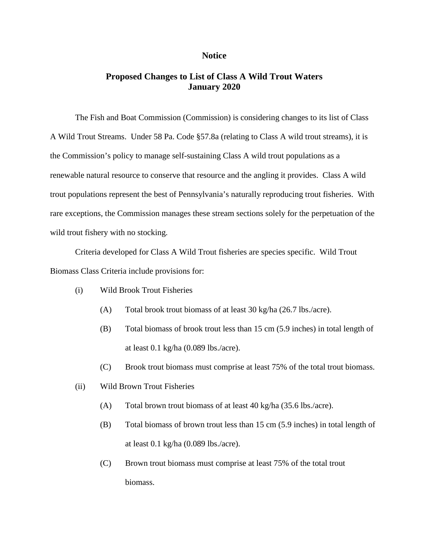## **Notice**

## **Proposed Changes to List of Class A Wild Trout Waters January 2020**

The Fish and Boat Commission (Commission) is considering changes to its list of Class A Wild Trout Streams. Under 58 Pa. Code §57.8a (relating to Class A wild trout streams), it is the Commission's policy to manage self-sustaining Class A wild trout populations as a renewable natural resource to conserve that resource and the angling it provides. Class A wild trout populations represent the best of Pennsylvania's naturally reproducing trout fisheries. With rare exceptions, the Commission manages these stream sections solely for the perpetuation of the wild trout fishery with no stocking.

Criteria developed for Class A Wild Trout fisheries are species specific. Wild Trout Biomass Class Criteria include provisions for:

- (i) Wild Brook Trout Fisheries
	- (A) Total brook trout biomass of at least 30 kg/ha (26.7 lbs./acre).
	- (B) Total biomass of brook trout less than 15 cm (5.9 inches) in total length of at least 0.1 kg/ha (0.089 lbs./acre).
	- (C) Brook trout biomass must comprise at least 75% of the total trout biomass.
- (ii) Wild Brown Trout Fisheries
	- (A) Total brown trout biomass of at least 40 kg/ha (35.6 lbs./acre).
	- (B) Total biomass of brown trout less than 15 cm (5.9 inches) in total length of at least 0.1 kg/ha (0.089 lbs./acre).
	- (C) Brown trout biomass must comprise at least 75% of the total trout biomass.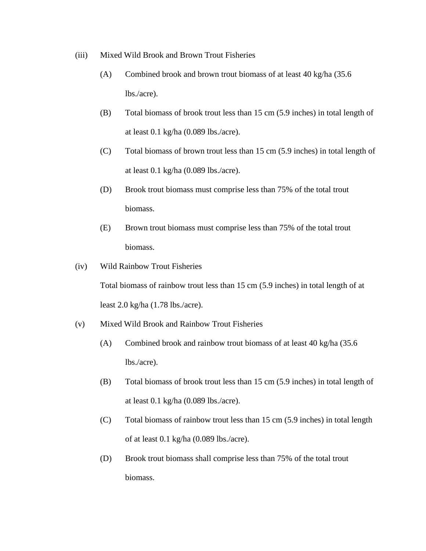- (iii) Mixed Wild Brook and Brown Trout Fisheries
	- (A) Combined brook and brown trout biomass of at least 40 kg/ha (35.6 lbs./acre).
	- (B) Total biomass of brook trout less than 15 cm (5.9 inches) in total length of at least 0.1 kg/ha (0.089 lbs./acre).
	- (C) Total biomass of brown trout less than 15 cm (5.9 inches) in total length of at least 0.1 kg/ha (0.089 lbs./acre).
	- (D) Brook trout biomass must comprise less than 75% of the total trout biomass.
	- (E) Brown trout biomass must comprise less than 75% of the total trout biomass.
- (iv) Wild Rainbow Trout Fisheries

Total biomass of rainbow trout less than 15 cm (5.9 inches) in total length of at least 2.0 kg/ha (1.78 lbs./acre).

- (v) Mixed Wild Brook and Rainbow Trout Fisheries
	- (A) Combined brook and rainbow trout biomass of at least 40 kg/ha (35.6 lbs./acre).
	- (B) Total biomass of brook trout less than 15 cm (5.9 inches) in total length of at least 0.1 kg/ha (0.089 lbs./acre).
	- (C) Total biomass of rainbow trout less than 15 cm (5.9 inches) in total length of at least 0.1 kg/ha (0.089 lbs./acre).
	- (D) Brook trout biomass shall comprise less than 75% of the total trout biomass.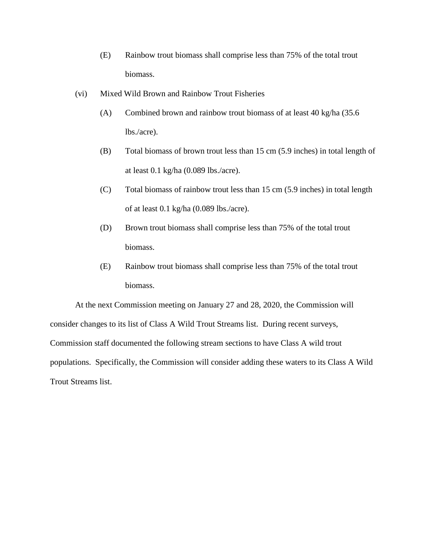- (E) Rainbow trout biomass shall comprise less than 75% of the total trout biomass.
- (vi) Mixed Wild Brown and Rainbow Trout Fisheries
	- (A) Combined brown and rainbow trout biomass of at least 40 kg/ha (35.6 lbs./acre).
	- (B) Total biomass of brown trout less than 15 cm (5.9 inches) in total length of at least 0.1 kg/ha (0.089 lbs./acre).
	- (C) Total biomass of rainbow trout less than 15 cm (5.9 inches) in total length of at least 0.1 kg/ha (0.089 lbs./acre).
	- (D) Brown trout biomass shall comprise less than 75% of the total trout biomass.
	- (E) Rainbow trout biomass shall comprise less than 75% of the total trout biomass.

At the next Commission meeting on January 27 and 28, 2020, the Commission will consider changes to its list of Class A Wild Trout Streams list. During recent surveys, Commission staff documented the following stream sections to have Class A wild trout populations. Specifically, the Commission will consider adding these waters to its Class A Wild Trout Streams list.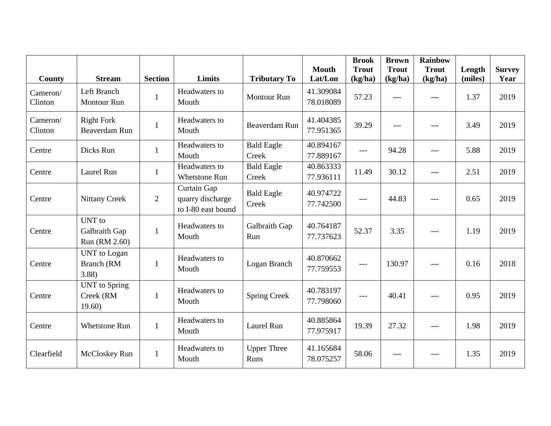| <b>County</b>       | <b>Stream</b>                              | <b>Section</b> | Limits                                                | <b>Tributary To</b>        | <b>Mouth</b><br>Lat/Lon | <b>Brook</b><br><b>Trout</b><br>(kg/ha) | <b>Brown</b><br><b>Trout</b><br>(kg/ha) | <b>Rainbow</b><br><b>Trout</b><br>(kg/ha) | Length<br>(miles) | <b>Survey</b><br>Year |
|---------------------|--------------------------------------------|----------------|-------------------------------------------------------|----------------------------|-------------------------|-----------------------------------------|-----------------------------------------|-------------------------------------------|-------------------|-----------------------|
| Cameron/<br>Clinton | Left Branch<br><b>Montour Run</b>          | $\mathbf{1}$   | Headwaters to<br>Mouth                                | <b>Montour Run</b>         | 41.309084<br>78.018089  | 57.23                                   | $---$                                   | ---                                       | 1.37              | 2019                  |
| Cameron/<br>Clinton | <b>Right Fork</b><br><b>Beaverdam Run</b>  | $\mathbf{1}$   | Headwaters to<br>Mouth                                | <b>Beaverdam Run</b>       | 41.404385<br>77.951365  | 39.29                                   | $---$                                   | ---                                       | 3.49              | 2019                  |
| Centre              | Dicks Run                                  | $\mathbf{1}$   | Headwaters to<br>Mouth                                | <b>Bald Eagle</b><br>Creek | 40.894167<br>77.889167  | $\sim$ $\sim$ $\sim$                    | 94.28                                   | ---                                       | 5.88              | 2019                  |
| Centre              | Laurel Run                                 | $\mathbf{1}$   | Headwaters to<br><b>Whetstone Run</b>                 | <b>Bald Eagle</b><br>Creek | 40.863333<br>77.936111  | 11.49                                   | 30.12                                   | ---                                       | 2.51              | 2019                  |
| Centre              | <b>Nittany Creek</b>                       | $\overline{2}$ | Curtain Gap<br>quarry discharge<br>to I-80 east bound | <b>Bald Eagle</b><br>Creek | 40.974722<br>77.742500  | $\hspace{0.05cm}---\hspace{0.05cm}$     | 44.83                                   | $---$                                     | 0.65              | 2019                  |
| Centre              | UNT to<br>Galbraith Gap<br>Run (RM 2.60)   | $\mathbf{1}$   | Headwaters to<br>Mouth                                | Galbraith Gap<br>Run       | 40.764187<br>77.737623  | 52.37                                   | 3.35                                    | ---                                       | 1.19              | 2019                  |
| Centre              | <b>UNT</b> to Logan<br>Branch (RM<br>3.88  | $\mathbf{1}$   | Headwaters to<br>Mouth                                | Logan Branch               | 40.870662<br>77.759553  | $\qquad \qquad - -$                     | 130.97                                  | ---                                       | 0.16              | 2018                  |
| Centre              | <b>UNT</b> to Spring<br>Creek (RM<br>19.60 | $\mathbf{1}$   | Headwaters to<br>Mouth                                | <b>Spring Creek</b>        | 40.783197<br>77.798060  | $\qquad \qquad \text{---}$              | 40.41                                   | $---$                                     | 0.95              | 2019                  |
| Centre              | <b>Whetstone Run</b>                       | $\mathbf{1}$   | Headwaters to<br>Mouth                                | Laurel Run                 | 40.885864<br>77.975917  | 19.39                                   | 27.32                                   | $---$                                     | 1.98              | 2019                  |
| Clearfield          | McCloskey Run                              | $\mathbf{1}$   | Headwaters to<br>Mouth                                | <b>Upper Three</b><br>Runs | 41.165684<br>78.075257  | 58.06                                   | $---$                                   | ---                                       | 1.35              | 2019                  |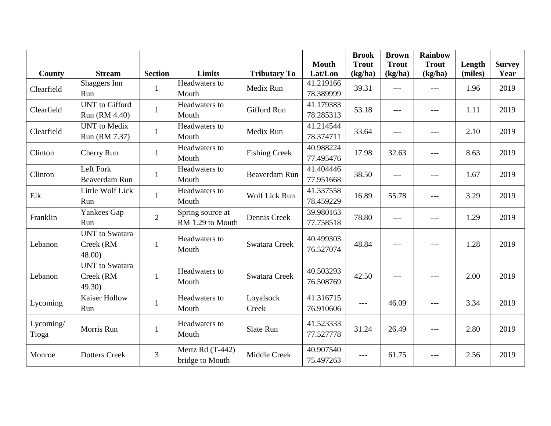|                    |                                             |                |                                      |                      | <b>Mouth</b>           | <b>Brook</b><br><b>Trout</b> | <b>Brown</b><br><b>Trout</b> | <b>Rainbow</b><br><b>Trout</b> | Length  | <b>Survey</b> |
|--------------------|---------------------------------------------|----------------|--------------------------------------|----------------------|------------------------|------------------------------|------------------------------|--------------------------------|---------|---------------|
| <b>County</b>      | <b>Stream</b>                               | <b>Section</b> | <b>Limits</b>                        | <b>Tributary To</b>  | Lat/Lon                | (kg/ha)                      | (kg/ha)                      | (kg/ha)                        | (miles) | Year          |
| Clearfield         | Shaggers Inn<br>Run                         | 1              | Headwaters to<br>Mouth               | Medix Run            | 41.219166<br>78.389999 | 39.31                        | $\frac{1}{2}$                | $---$                          | 1.96    | 2019          |
| Clearfield         | <b>UNT</b> to Gifford<br>Run (RM 4.40)      | $\mathbf{1}$   | Headwaters to<br>Mouth               | <b>Gifford Run</b>   | 41.179383<br>78.285313 | 53.18                        | $\frac{1}{2}$                | $---$                          | 1.11    | 2019          |
| Clearfield         | <b>UNT</b> to Medix<br>Run (RM 7.37)        | 1              | Headwaters to<br>Mouth               | Medix Run            | 41.214544<br>78.374711 | 33.64                        | $---$                        | ---                            | 2.10    | 2019          |
| Clinton            | Cherry Run                                  | $\mathbf{1}$   | Headwaters to<br>Mouth               | <b>Fishing Creek</b> | 40.988224<br>77.495476 | 17.98                        | 32.63                        | ---                            | 8.63    | 2019          |
| Clinton            | Left Fork<br>Beaverdam Run                  | 1              | Headwaters to<br>Mouth               | <b>Beaverdam Run</b> | 41.404446<br>77.951668 | 38.50                        | $---$                        | $---$                          | 1.67    | 2019          |
| Elk                | Little Wolf Lick<br>Run                     | 1              | Headwaters to<br>Mouth               | Wolf Lick Run        | 41.337558<br>78.459229 | 16.89                        | 55.78                        | $---$                          | 3.29    | 2019          |
| Franklin           | Yankees Gap<br>Run                          | $\overline{2}$ | Spring source at<br>RM 1.29 to Mouth | Dennis Creek         | 39.980163<br>77.758518 | 78.80                        | $---$                        | ---                            | 1.29    | 2019          |
| Lebanon            | <b>UNT</b> to Swatara<br>Creek (RM<br>48.00 | $\mathbf{1}$   | Headwaters to<br>Mouth               | <b>Swatara Creek</b> | 40.499303<br>76.527074 | 48.84                        | $---$                        | $ -$                           | 1.28    | 2019          |
| Lebanon            | <b>UNT</b> to Swatara<br>Creek (RM<br>49.30 | $\mathbf{1}$   | Headwaters to<br>Mouth               | <b>Swatara Creek</b> | 40.503293<br>76.508769 | 42.50                        | $\frac{1}{2}$                | $---$                          | 2.00    | 2019          |
| Lycoming           | <b>Kaiser Hollow</b><br>Run                 | $\mathbf{1}$   | Headwaters to<br>Mouth               | Loyalsock<br>Creek   | 41.316715<br>76.910606 | $\qquad \qquad - -$          | 46.09                        | $---$                          | 3.34    | 2019          |
| Lycoming/<br>Tioga | Morris Run                                  | 1              | Headwaters to<br>Mouth               | Slate Run            | 41.523333<br>77.527778 | 31.24                        | 26.49                        |                                | 2.80    | 2019          |
| Monroe             | <b>Dotters Creek</b>                        | 3              | Mertz Rd (T-442)<br>bridge to Mouth  | Middle Creek         | 40.907540<br>75.497263 | $---$                        | 61.75                        |                                | 2.56    | 2019          |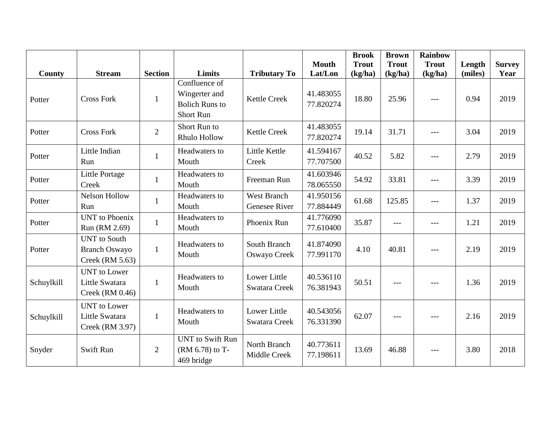|            |                                                                |                |                                                                             |                                      | <b>Mouth</b>           | <b>Brook</b><br><b>Trout</b> | <b>Brown</b><br><b>Trout</b> | <b>Rainbow</b><br><b>Trout</b> | Length  | <b>Survey</b> |
|------------|----------------------------------------------------------------|----------------|-----------------------------------------------------------------------------|--------------------------------------|------------------------|------------------------------|------------------------------|--------------------------------|---------|---------------|
| County     | <b>Stream</b>                                                  | <b>Section</b> | Limits                                                                      | <b>Tributary To</b>                  | Lat/Lon                | (kg/ha)                      | (kg/ha)                      | (kg/ha)                        | (miles) | Year          |
| Potter     | <b>Cross Fork</b>                                              | $\mathbf{1}$   | Confluence of<br>Wingerter and<br><b>Bolich Runs to</b><br><b>Short Run</b> | <b>Kettle Creek</b>                  | 41.483055<br>77.820274 | 18.80                        | 25.96                        | $\frac{1}{2}$                  | 0.94    | 2019          |
| Potter     | <b>Cross Fork</b>                                              | $\overline{2}$ | Short Run to<br>Rhulo Hollow                                                | <b>Kettle Creek</b>                  | 41.483055<br>77.820274 | 19.14                        | 31.71                        | $---$                          | 3.04    | 2019          |
| Potter     | Little Indian<br>Run                                           | $\mathbf{1}$   | Headwaters to<br>Mouth                                                      | Little Kettle<br>Creek               | 41.594167<br>77.707500 | 40.52                        | 5.82                         | $---$                          | 2.79    | 2019          |
| Potter     | <b>Little Portage</b><br>Creek                                 | $\mathbf{1}$   | Headwaters to<br>Mouth                                                      | Freeman Run                          | 41.603946<br>78.065550 | 54.92                        | 33.81                        | $\frac{1}{2}$                  | 3.39    | 2019          |
| Potter     | <b>Nelson Hollow</b><br>Run                                    | $\mathbf{1}$   | Headwaters to<br>Mouth                                                      | <b>West Branch</b><br>Genesee River  | 41.950156<br>77.884449 | 61.68                        | 125.85                       | $---$                          | 1.37    | 2019          |
| Potter     | <b>UNT</b> to Phoenix<br>Run (RM 2.69)                         | $\mathbf{1}$   | Headwaters to<br>Mouth                                                      | Phoenix Run                          | 41.776090<br>77.610400 | 35.87                        | $---$                        | ---                            | 1.21    | 2019          |
| Potter     | <b>UNT</b> to South<br><b>Branch Oswayo</b><br>Creek (RM 5.63) | $\mathbf{1}$   | Headwaters to<br>Mouth                                                      | South Branch<br>Oswayo Creek         | 41.874090<br>77.991170 | 4.10                         | 40.81                        | ---                            | 2.19    | 2019          |
| Schuylkill | <b>UNT</b> to Lower<br>Little Swatara<br>Creek $(RM 0.46)$     | $\mathbf{1}$   | Headwaters to<br>Mouth                                                      | Lower Little<br>Swatara Creek        | 40.536110<br>76.381943 | 50.51                        | $---$                        | $---$                          | 1.36    | 2019          |
| Schuylkill | <b>UNT</b> to Lower<br>Little Swatara<br>Creek (RM 3.97)       | $\mathbf{1}$   | Headwaters to<br>Mouth                                                      | Lower Little<br><b>Swatara Creek</b> | 40.543056<br>76.331390 | 62.07                        | $---$                        | ---                            | 2.16    | 2019          |
| Snyder     | <b>Swift Run</b>                                               | $\overline{2}$ | <b>UNT</b> to Swift Run<br>(RM 6.78) to T-<br>469 bridge                    | North Branch<br>Middle Creek         | 40.773611<br>77.198611 | 13.69                        | 46.88                        | ---                            | 3.80    | 2018          |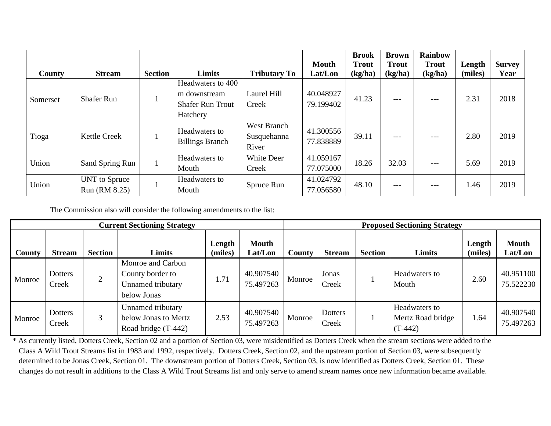|          |                     |                |                                         |                     | <b>Mouth</b> | <b>Brook</b><br><b>Trout</b> | <b>Brown</b><br><b>Trout</b> | <b>Rainbow</b><br><b>Trout</b> | Length  | <b>Survey</b> |
|----------|---------------------|----------------|-----------------------------------------|---------------------|--------------|------------------------------|------------------------------|--------------------------------|---------|---------------|
| County   | <b>Stream</b>       | <b>Section</b> | Limits                                  | <b>Tributary To</b> | Lat/Lon      | (kg/ha)                      | (kg/ha)                      | (kg/ha)                        | (miles) | Year          |
|          |                     |                | Headwaters to 400                       |                     |              |                              |                              |                                | 2.31    | 2018          |
|          | <b>Shafer Run</b>   |                | m downstream                            | Laurel Hill         | 40.048927    | 41.23                        | $---$                        | ---                            |         |               |
| Somerset |                     |                | <b>Shafer Run Trout</b>                 | Creek               | 79.199402    |                              |                              |                                |         |               |
|          |                     |                | Hatchery                                |                     |              |                              |                              |                                |         |               |
|          | <b>Kettle Creek</b> |                | Headwaters to<br><b>Billings Branch</b> | West Branch         | 41.300556    |                              | ---                          | $---$                          | 2.80    | 2019          |
| Tioga    |                     |                |                                         | Susquehanna         | 77.838889    | 39.11                        |                              |                                |         |               |
|          |                     |                |                                         | River               |              |                              |                              |                                |         |               |
| Union    | Sand Spring Run     |                | Headwaters to                           | White Deer          | 41.059167    | 18.26                        | 32.03                        | $---$                          | 5.69    | 2019          |
|          |                     |                | Mouth                                   | Creek               | 77.075000    |                              |                              |                                |         |               |
|          | UNT to Spruce       |                | Headwaters to                           | Spruce Run          | 41.024792    | 48.10                        | ---                          |                                | 1.46    | 2019          |
| Union    | Run (RM 8.25)       |                | Mouth                                   |                     | 77.056580    |                              |                              | $-- -$                         |         |               |

The Commission also will consider the following amendments to the list:

| <b>Current Sectioning Strategy</b> |                  |                |                                                                           |                   |                         |        | <b>Proposed Sectioning Strategy</b> |                |                                                 |                   |                         |  |  |
|------------------------------------|------------------|----------------|---------------------------------------------------------------------------|-------------------|-------------------------|--------|-------------------------------------|----------------|-------------------------------------------------|-------------------|-------------------------|--|--|
| County                             | <b>Stream</b>    | <b>Section</b> | Limits                                                                    | Length<br>(miles) | <b>Mouth</b><br>Lat/Lon | County | <b>Stream</b>                       | <b>Section</b> | Limits                                          | Length<br>(miles) | <b>Mouth</b><br>Lat/Lon |  |  |
| Monroe                             | Dotters<br>Creek | $\overline{2}$ | Monroe and Carbon<br>County border to<br>Unnamed tributary<br>below Jonas | 1.71              | 40.907540<br>75.497263  | Monroe | Jonas<br>Creek                      |                | Headwaters to<br>Mouth                          | 2.60              | 40.951100<br>75.522230  |  |  |
| Monroe                             | Dotters<br>Creek | 3              | Unnamed tributary<br>below Jonas to Mertz<br>Road bridge (T-442)          | 2.53              | 40.907540<br>75.497263  | Monroe | Dotters<br>Creek                    |                | Headwaters to<br>Mertz Road bridge<br>$(T-442)$ | 1.64              | 40.907540<br>75.497263  |  |  |

\* As currently listed, Dotters Creek, Section 02 and a portion of Section 03, were misidentified as Dotters Creek when the stream sections were added to the Class A Wild Trout Streams list in 1983 and 1992, respectively. Dotters Creek, Section 02, and the upstream portion of Section 03, were subsequently determined to be Jonas Creek, Section 01. The downstream portion of Dotters Creek, Section 03, is now identified as Dotters Creek, Section 01. These changes do not result in additions to the Class A Wild Trout Streams list and only serve to amend stream names once new information became available.